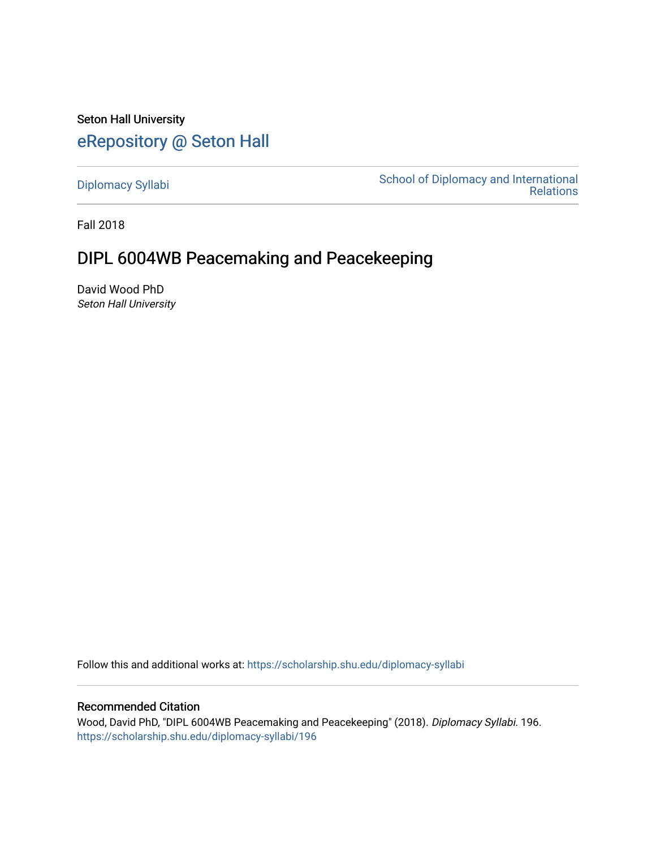Seton Hall University [eRepository @ Seton Hall](https://scholarship.shu.edu/)

[Diplomacy Syllabi](https://scholarship.shu.edu/diplomacy-syllabi) [School of Diplomacy and International](https://scholarship.shu.edu/diplomacy)  [Relations](https://scholarship.shu.edu/diplomacy) 

Fall 2018

# DIPL 6004WB Peacemaking and Peacekeeping

David Wood PhD Seton Hall University

Follow this and additional works at: [https://scholarship.shu.edu/diplomacy-syllabi](https://scholarship.shu.edu/diplomacy-syllabi?utm_source=scholarship.shu.edu%2Fdiplomacy-syllabi%2F196&utm_medium=PDF&utm_campaign=PDFCoverPages) 

## Recommended Citation

Wood, David PhD, "DIPL 6004WB Peacemaking and Peacekeeping" (2018). Diplomacy Syllabi. 196. [https://scholarship.shu.edu/diplomacy-syllabi/196](https://scholarship.shu.edu/diplomacy-syllabi/196?utm_source=scholarship.shu.edu%2Fdiplomacy-syllabi%2F196&utm_medium=PDF&utm_campaign=PDFCoverPages)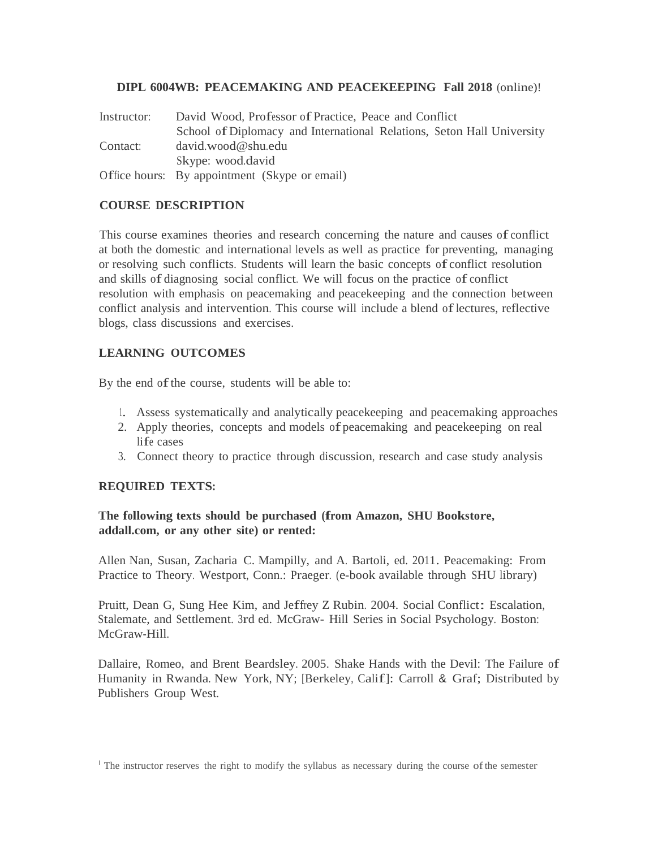## **DIPL 6004WB: PEACEMAKING AND PEACEKEEPING Fall 2018** (online)!

| Instructor: | David Wood, Professor of Practice, Peace and Conflict                  |  |  |  |
|-------------|------------------------------------------------------------------------|--|--|--|
|             | School of Diplomacy and International Relations, Seton Hall University |  |  |  |
| Contact:    | $david$ wood @ shu edu                                                 |  |  |  |
|             | Skype: wood.david                                                      |  |  |  |
|             | Office hours: By appointment (Skype or email)                          |  |  |  |

## **COURSE DESCRIPTION**

This course examines theories and research concerning the nature and causes of conflict at both the domestic and international levels as well as practice for preventing, managing or resolving such conflicts. Students will learn the basic concepts of conflict resolution and skills of diagnosing social conflict. We will focus on the practice of conflict resolution with emphasis on peacemaking and peacekeeping and the connection between conflict analysis and intervention. This course will include a blend of lectures, reflective blogs, class discussions and exercises.

## **LEARNING OUTCOMES**

By the end of the course, students will be able to:

- 1. Assess systematically and analytically peacekeeping and peacemaking approaches
- 2. Apply theories, concepts and models of peacemaking and peacekeeping on real life cases
- 3. Connect theory to practice through discussion, research and case study analysis

## **REQUIRED TEXTS:**

## **The following texts should be purchased (from Amazon, SHU Bookstore, addall.com, or any other site) or rented:**

Allen Nan, Susan, Zacharia C. Mampilly, and A. Bartoli, ed. 2011. Peacemaking: From Practice to Theory. Westport, Conn.: Praeger. (e-book available through SHU library)

Pruitt, Dean G, Sung Hee Kim, and Jeffrey <sup>Z</sup> Rubin. 2004. Social Conflict: Escalation, Stalemate, and Settlement. 3rd ed. McGraw- Hill Series in Social Psychology. Boston: McGraw-Hill.

Dallaire, Romeo, and Brent Beardsley. 2005. Shake Hands with the Devil: The Failure of Humanity in Rwanda. New York, NY; [Berkeley, Calif.]: Carroll & Graf; Distributed by Publishers Group West.

<sup>&</sup>lt;sup>1</sup> The instructor reserves the right to modify the syllabus as necessary during the course of the semester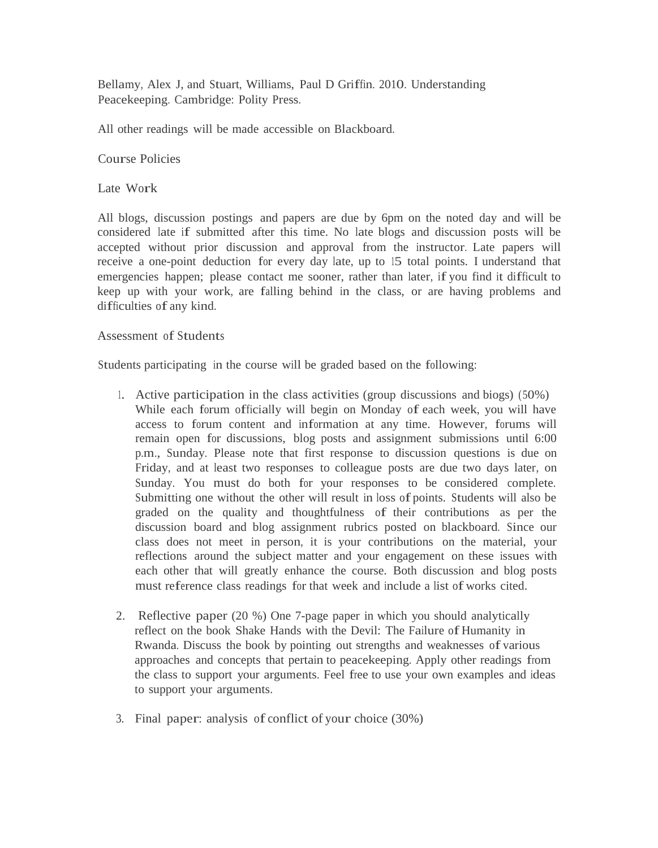Bellamy, Alex J, and Stuart, Williams, Paul D Griffin. 2010. Understanding Peacekeeping. Cambridge: Polity Press.

All other readings will be made accessible on Blackboard.

Course Policies

Late Work

All blogs, discussion postings and papers are due by 6pm on the noted day and will be considered late if submitted after this time. No late blogs and discussion posts will be accepted without prior discussion and approval from the instructor. Late papers will receive a one-point deduction for every day late, up to 15 total points. I understand that emergencies happen; please contact me sooner, rather than later, if you find it difficult to keep up with your work, are falling behind in the class, or are having problems and difficulties of any kind.

## Assessment of Students

Students participating in the course will be graded based on the following:

- 1. Active participation in the class activities (group discussions and biogs) (50%) While each forum officially will begin on Monday of each week, you will have access to forum content and information at any time. However, forums will remain open for discussions, blog posts and assignment submissions until 6:00 p.m., Sunday. Please note that first response to discussion questions is due on Friday, and at least two responses to colleague posts are due two days later, on Sunday. You must do both for your responses to be considered complete. Submitting one without the other will result in loss of points. Students will also be graded on the quality and thoughtfulness of their contributions as per the discussion board and blog assignment rubrics posted on blackboard. Since our class does not meet in person, it is your contributions on the material, your reflections around the subject matter and your engagement on these issues with each other that will greatly enhance the course. Both discussion and blog posts must reference class readings for that week and include a list of works cited.
- 2. Reflective paper (20 %) One 7-page paper in which you should analytically reflect on the book Shake Hands with the Devil: The Failure of Humanity in Rwanda. Discuss the book by pointing out strengths and weaknesses of various approaches and concepts that pertain to peacekeeping. Apply other readings from the class to support your arguments. Feel free to use your own examples and ideas to support your arguments.
- 3. Final paper: analysis of conflict of your choice (30%)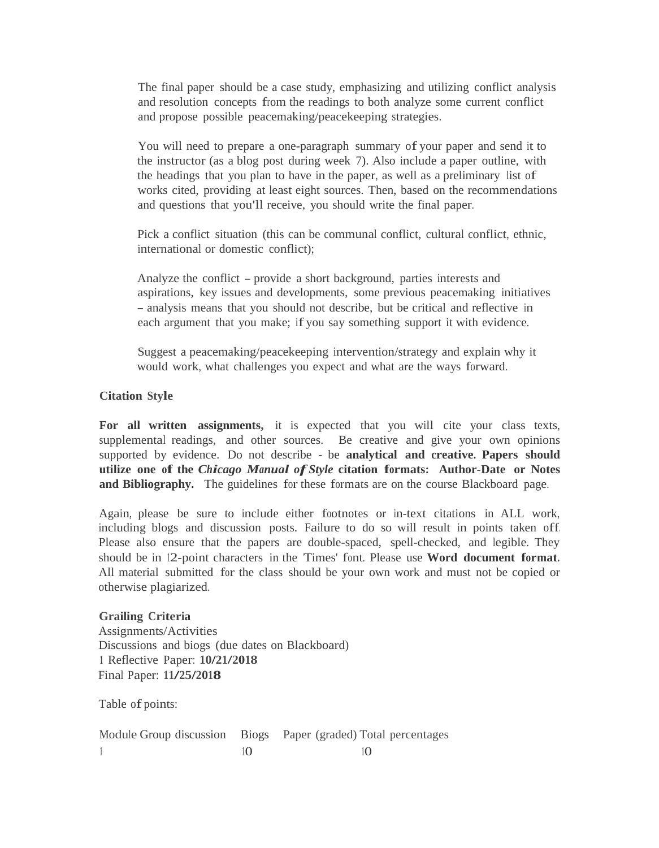The final paper should be a case study, emphasizing and utilizing conflict analysis and resolution concepts from the readings to both analyze some current conflict and propose possible peacemaking/peacekeeping strategies.

You will need to prepare a one-paragraph summary of your paper and send it to the instructor (as a blog post during week 7). Also include a paper outline, with the headings that you plan to have in the paper, as well as a preliminary list of works cited, providing at least eight sources. Then, based on the recommendations and questions that you'll receive, you should write the final paper.

Pick a conflict situation (this can be communal conflict, cultural conflict, ethnic, international or domestic conflict);

Analyze the conflict - provide <sup>a</sup> short background, parties interests and aspirations, key issues and developments, some previous peacemaking initiatives - analysis means that you should not describe, but be critical and reflective in each argument that you make; if you say something support it with evidence.

Suggest a peacemaking/peacekeeping intervention/strategy and explain why it would work, what challenges you expect and what are the ways forward.

#### **Citation Style**

**For all written assignments,** it is expected that you will cite your class texts, supplemental readings, and other sources. Be creative and give your own opinions supported by evidence. Do not describe - be **analytical and creative. Papers should utilize one of the** *Chicago Manual of Style* **citation formats: Author-Date or Notes and Bibliography.** The guidelines for these formats are on the course Blackboard page.

Again, please be sure to include either footnotes or in-text citations in ALL work, including blogs and discussion posts. Failure to do so will result in points taken off. Please also ensure that the papers are double-spaced, spell-checked, and legible. They should be in 12-point characters in the 'Times' font. Please use **Word document format.**  All material submitted for the class should be your own work and must not be copied or otherwise plagiarized.

**Grailing Criteria** Assignments/Activities Discussions and biogs (due dates on Blackboard) **<sup>1</sup>**Reflective Paper: **10/21/2018** Final Paper: **11/25/2018**

Table of points:

|  | Module Group discussion Biogs Paper (graded) Total percentages |
|--|----------------------------------------------------------------|
|  |                                                                |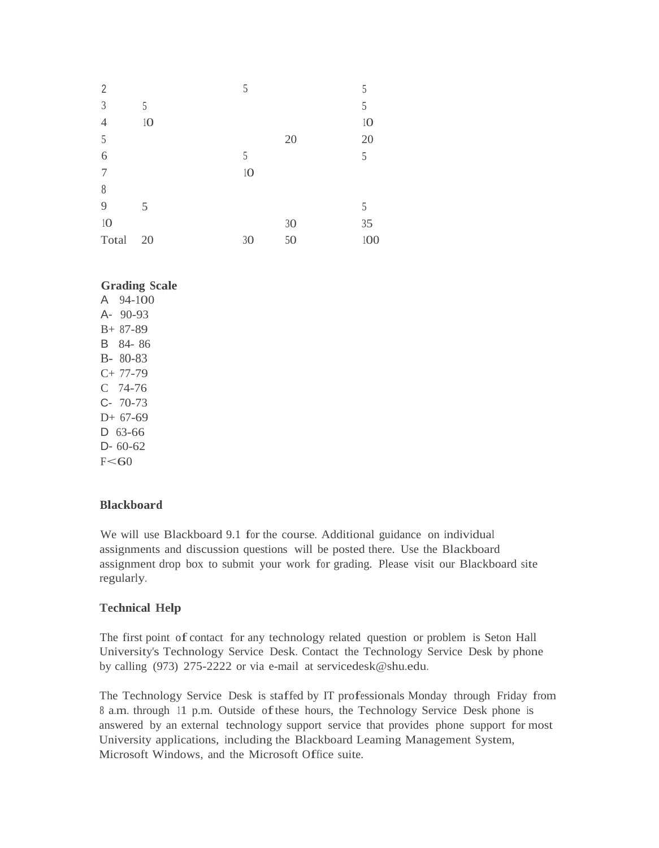| $\overline{2}$ |    | 5  |    | 5   |
|----------------|----|----|----|-----|
| $\mathfrak{Z}$ | 5  |    |    | 5   |
| $\overline{4}$ | 10 |    |    | 10  |
| 5              |    |    | 20 | 20  |
| 6              |    | 5  |    | 5   |
| $\overline{7}$ |    | 10 |    |     |
| $\,$ $\,$      |    |    |    |     |
| 9              | 5  |    |    | 5   |
| 10             |    |    | 30 | 35  |
| Total          | 20 | 30 | 50 | 100 |
|                |    |    |    |     |

#### **Grading Scale** A 94-100

A- 90-93 B+ 87-89 B 84- 86 B- 80-83 C+ 77-79 C 74-76 C- 70-73 D+ 67-69 D 63-66 D- 60-62  $F<60$ 

## **Blackboard**

We will use Blackboard 9.1 for the course. Additional guidance on individual assignments and discussion questions will be posted there. Use the Blackboard assignment drop box to submit your work for grading. Please visit our Blackboard site regularly.

## **Technical Help**

The first point of contact for any technology related question or problem is Seton Hall University's Technology Service Desk. Contact the Technology Service Desk by phone by calling (973) 275-2222 or via e-mail at [servicedesk@shu.edu.](mailto:servicedesk@shu.edu)

The Technology Service Desk is staffed by IT professionals Monday through Friday from <sup>8</sup> a.m. through 11 p.m. Outside ofthese hours, the Technology Service Desk phone is answered by an external technology support service that provides phone support for most University applications, including the Blackboard Leaming Management System, Microsoft Windows, and the Microsoft Office suite.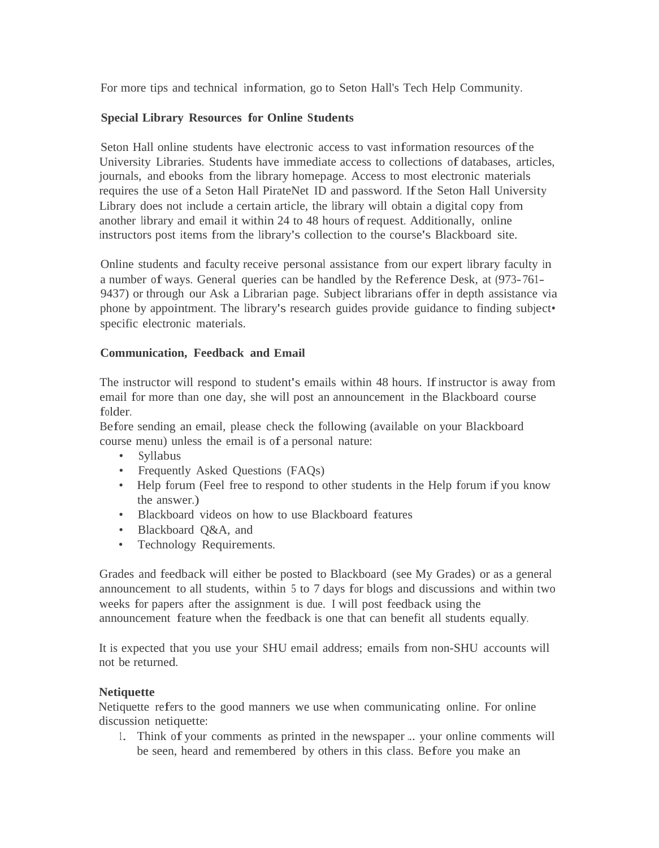For more tips and technical information, go to Seton Hall's Tech Help Community.

## **Special Library Resources for Online Students**

Seton Hall online students have electronic access to vast information resources of the University Libraries. Students have immediate access to collections of databases, articles, journals, and ebooks from the library homepage. Access to most electronic materials requires the use of a Seton Hall PirateNet ID and password. Ifthe Seton Hall University Library does not include a certain article, the library will obtain a digital copy from another library and email it within 24 to 48 hours ofrequest. Additionally, online instructors post items from the library's collection to the course's Blackboard site.

Online students and faculty receive personal assistance from our expert library faculty in <sup>a</sup> number ofways. General queries can be handled by the Reference Desk, at (973-761- 9437) or through our Ask a Librarian page. Subject librarians offer in depth assistance via phone by appointment. The library's research guides provide guidance to finding subject• specific electronic materials.

## **Communication, Feedback and Email**

The instructor will respond to student's emails within 48 hours. Ifinstructor is away from email for more than one day, she will post an announcement in the Blackboard course folder.

Before sending an email, please check the following (available on your Blackboard course menu) unless the email is of a personal nature:

- Syllabus
- Frequently Asked Questions (FAQs)
- Help forum (Feel free to respond to other students in the Help forum if you know the answer.)
- Blackboard videos on how to use Blackboard features
- Blackboard Q&A, and
- Technology Requirements.

Grades and feedback will either be posted to Blackboard (see My Grades) or as a general announcement to all students, within <sup>5</sup> to 7 days for blogs and discussions and within two weeks for papers after the assignment is due. I will post feedback using the announcement feature when the feedback is one that can benefit all students equally.

It is expected that you use your SHU email address; emails from non-SHU accounts will not be returned.

## **Netiquette**

Netiquette refers to the good manners we use when communicating online. For online discussion netiquette:

1. Think of your comments as printed in the newspaper ... your online comments will be seen, heard and remembered by others in this class. Before you make an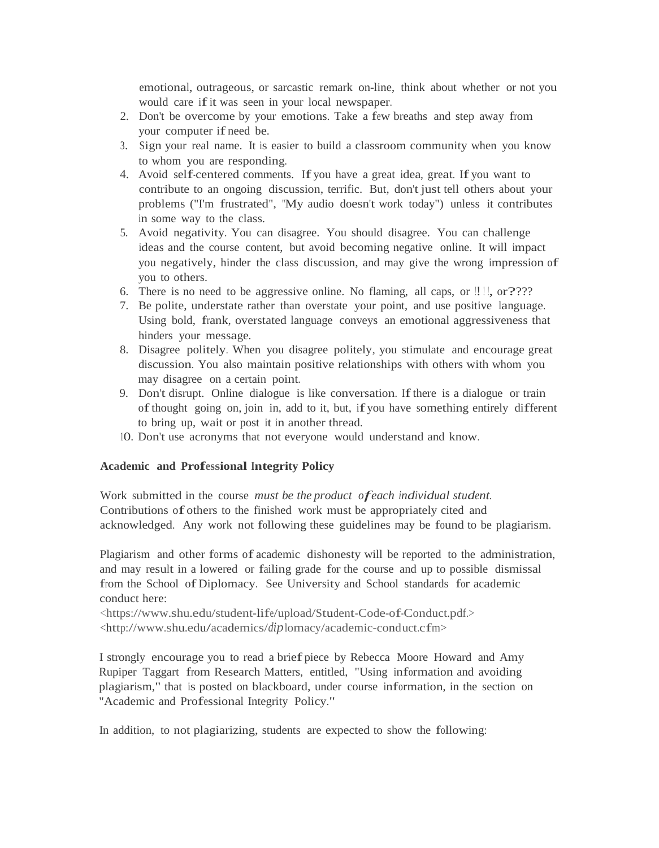emotional, outrageous, or sarcastic remark on-line, think about whether or not you would care if it was seen in your local newspaper.

- 2. Don't be overcome by your emotions. Take a few breaths and step away from your computer if need be.
- 3. Sign your real name. It is easier to build a classroom community when you know to whom you are responding.
- 4. Avoid self-centered comments. If you have <sup>a</sup> great idea, great. If you want to contribute to an ongoing discussion, terrific. But, don't just tell others about your problems ("I'm frustrated", "My audio doesn't work today") unless it contributes in some way to the class.
- 5. Avoid negativity. You can disagree. You should disagree. You can challenge ideas and the course content, but avoid becoming negative online. It will impact you negatively, hinder the class discussion, and may give the wrong impression of you to others.
- 6. There is no need to be aggressive online. No flaming, all caps, or  $\left\lfloor \frac{1}{2} \right\rfloor$ , or ????
- 7. Be polite, understate rather than overstate your point, and use positive language. Using bold, frank, overstated language conveys an emotional aggressiveness that hinders your message.
- 8. Disagree politely. When you disagree politely, you stimulate and encourage great discussion. You also maintain positive relationships with others with whom you may disagree on a certain point.
- 9. Don't disrupt. Online dialogue is like conversation. If there is a dialogue or train ofthought going on, join in, add to it, but, ifyou have something entirely different to bring up, wait or post it in another thread.
- 10. Don't use acronyms that not everyone would understand and know.

## Academic and **Professional Integrity Policy**

Work submitted in the course *must be the product ofeach individual student.*  Contributions of others to the finished work must be appropriately cited and acknowledged. Any work not following these guidelines may be found to be plagiarism.

Plagiarism and other forms of academic dishonesty will be reported to the administration, and may result in a lowered or failing grade for the course and up to possible dismissal from the School ofDiplomacy. See University and School standards for academic conduct here:

<https:[//www.shu.edu/student-life/upload/Student-Code-of-Conduct.pdf.>](http://www.shu.edu/student-life/upload/Student-Code-of-Conduct.pdf) [<http://www.shu.edu/academics/](http://www.shu.edu/academics/dip)*dip*lomacy/academic-conduct.cfm>

<sup>I</sup> strongly encourage you to read <sup>a</sup> brief piece by Rebecca Moore Howard and Amy Rupiper Taggart from Research Matters, entitled, "Using information and avoiding plagiarism," that is posted on blackboard, under course information, in the section on "Academic and Professional Integrity Policy."

In addition, to not plagiarizing, students are expected to show the following: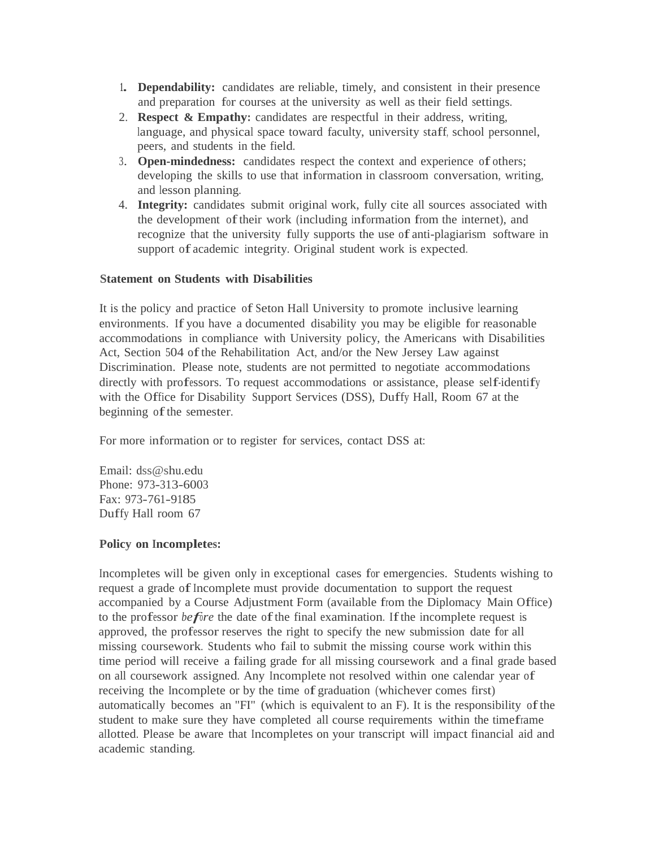- **1. Dependability:** candidates are reliable, timely, and consistent in their presence and preparation for courses at the university as well as their field settings.
- 2. **Respect & Empathy:** candidates are respectful in their address, writing, language, and physical space toward faculty, university staff, school personnel, peers, and students in the field.
- 3. **Open-mindedness:** candidates respect the context and experience of others; developing the skills to use that information in classroom conversation, writing, and lesson planning.
- 4. **Integrity:** candidates submit original work, fully cite all sources associated with the development oftheir work (including information from the internet), and recognize that the university fully supports the use of anti-plagiarism software in support of academic integrity. Original student work is expected.

## **Statement on Students with Disabilities**

It is the policy and practice of Seton Hall University to promote inclusive learning environments. If you have a documented disability you may be eligible for reasonable accommodations in compliance with University policy, the Americans with Disabilities Act, Section 504 ofthe Rehabilitation Act, and/or the New Jersey Law against Discrimination. Please note, students are not permitted to negotiate accommodations directly with professors. To request accommodations or assistance, please self-identify with the Office for Disability Support Services (DSS), Duffy Hall, Room 67 at the beginning of the semester.

For more information or to register for services, contact DSS at:

Email: [dss@shu.edu](mailto:dss@shu.edu) Phone: 973-313-6003 Fax: 973-761-9185 Duffy Hall room 67

## **Policy on Incompletes:**

Incompletes will be given only in exceptional cases for emergencies. Students wishing to request a grade of Incomplete must provide documentation to support the request accompanied by a Course Adjustment Form (available from the Diplomacy Main Office) to the professor *before* the date of the final examination. If the incomplete request is approved, the professor reserves the right to specify the new submission date for all missing coursework. Students who fail to submit the missing course work within this time period will receive a failing grade for all missing coursework and a final grade based on all coursework assigned. Any Incomplete not resolved within one calendar year of receiving the Incomplete or by the time of graduation (whichever comes first) automatically becomes an "FI" (which is equivalent to an F). It is the responsibility ofthe student to make sure they have completed all course requirements within the timeframe allotted. Please be aware that Incompletes on your transcript will impact financial aid and academic standing.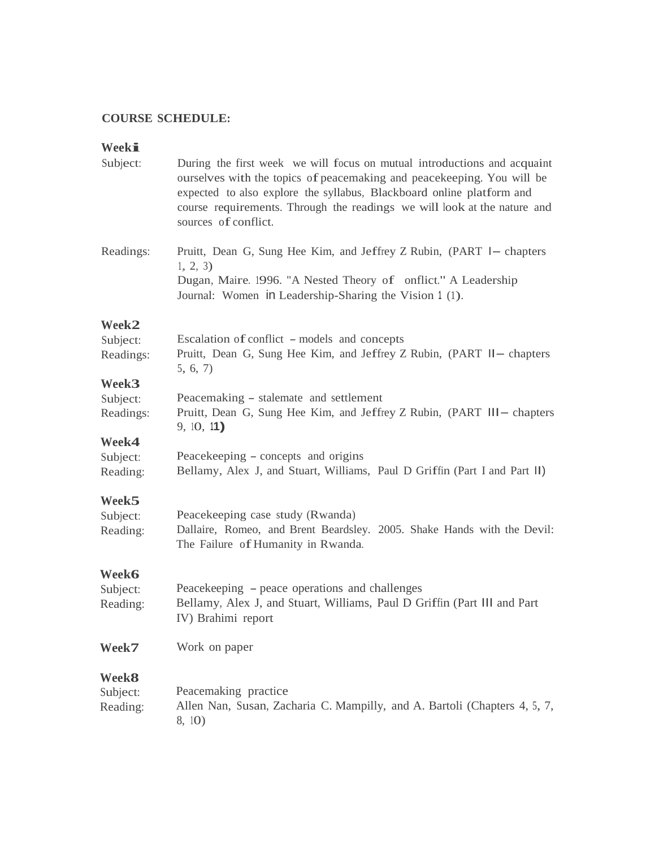## **COURSE SCHEDULE:**

# **Weeki**

| Subject:                                  | During the first week we will focus on mutual introductions and acquaint<br>ourselves with the topics of peacemaking and peacekeeping. You will be<br>expected to also explore the syllabus, Blackboard online platform and<br>course requirements. Through the readings we will look at the nature and<br>sources of conflict. |  |  |
|-------------------------------------------|---------------------------------------------------------------------------------------------------------------------------------------------------------------------------------------------------------------------------------------------------------------------------------------------------------------------------------|--|--|
| Readings:                                 | Pruitt, Dean G, Sung Hee Kim, and Jeffrey Z Rubin, (PART I– chapters<br>1, 2, 3)<br>Dugan, Maire. 1996. "A Nested Theory of onflict." A Leadership<br>Journal: Women in Leadership-Sharing the Vision 1 (1).                                                                                                                    |  |  |
| Week2                                     |                                                                                                                                                                                                                                                                                                                                 |  |  |
| Subject:<br>Readings:                     | Escalation of conflict – models and concepts<br>Pruitt, Dean G, Sung Hee Kim, and Jeffrey Z Rubin, (PART II - chapters<br>5, 6, 7)                                                                                                                                                                                              |  |  |
| Week <sub>3</sub>                         |                                                                                                                                                                                                                                                                                                                                 |  |  |
| Subject:<br>Readings:                     | Peacemaking - stalemate and settlement<br>Pruitt, Dean G, Sung Hee Kim, and Jeffrey Z Rubin, (PART III - chapters<br>9, 10, 11                                                                                                                                                                                                  |  |  |
| Week4                                     |                                                                                                                                                                                                                                                                                                                                 |  |  |
| Subject:<br>Reading:                      | Peacekeeping – concepts and origins<br>Bellamy, Alex J, and Stuart, Williams, Paul D Griffin (Part I and Part II)                                                                                                                                                                                                               |  |  |
| Week5<br>Subject:<br>Reading:             | Peacekeeping case study (Rwanda)<br>Dallaire, Romeo, and Brent Beardsley. 2005. Shake Hands with the Devil:<br>The Failure of Humanity in Rwanda.                                                                                                                                                                               |  |  |
| Week6<br>Subject:<br>Reading:             | Peacekeeping – peace operations and challenges<br>Bellamy, Alex J, and Stuart, Williams, Paul D Griffin (Part III and Part<br>IV) Brahimi report                                                                                                                                                                                |  |  |
| Week7                                     | Work on paper                                                                                                                                                                                                                                                                                                                   |  |  |
| Week <sup>8</sup><br>Subject:<br>Reading: | Peacemaking practice<br>Allen Nan, Susan, Zacharia C. Mampilly, and A. Bartoli (Chapters 4, 5, 7,<br>8, 10)                                                                                                                                                                                                                     |  |  |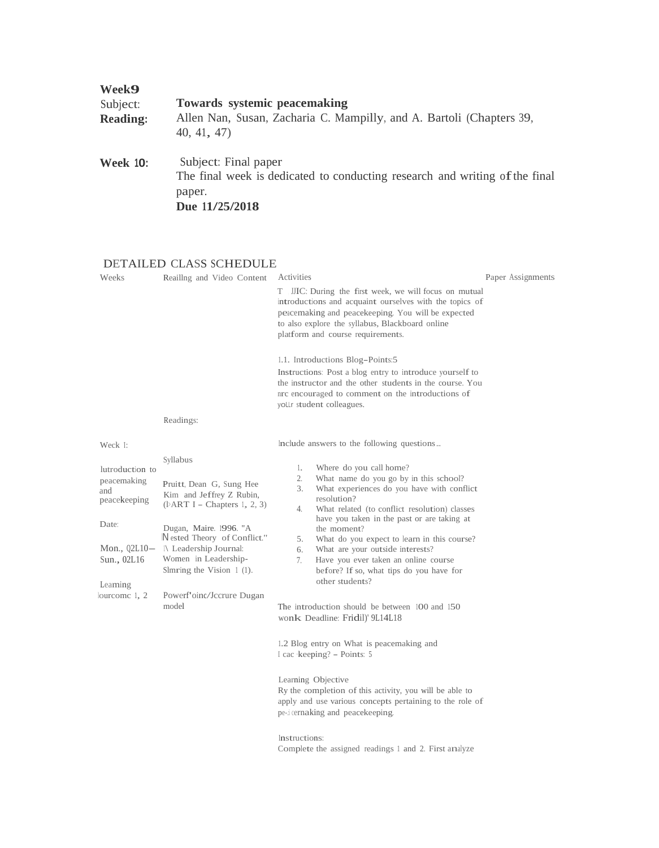| Week <b>9</b>   | <b>Towards systemic peacemaking</b>                                                                                             |
|-----------------|---------------------------------------------------------------------------------------------------------------------------------|
| Subject:        | Allen Nan, Susan, Zacharia C. Mampilly, and A. Bartoli (Chapters 39,                                                            |
| <b>Reading:</b> | 40, 41, 47                                                                                                                      |
| <b>Week 10:</b> | Subject: Final paper<br>The final week is dedicated to conducting research and writing of the final<br>paper.<br>Due 11/25/2018 |

## DETAILED CLASS SCHEDULE

| Weeks                                                                                                                                    | Reailing and Video Content                                                                                                                                                                                                                                                                                 | Activities<br>IIC: During the first week, we will focus on mutual<br>T.<br>introductions and acquaint ourselves with the topics of<br>peacemaking and peacekeeping. You will be expected<br>to also explore the syllabus, Blackboard online<br>platform and course requirements.<br>1.1. Introductions Blog-Points:5<br>Instructions: Post a blog entry to introduce yourself to<br>the instructor and the other students in the course. You<br>and the introductions of<br>yollr student colleagues.                                                                                                                                                                                                                                                                                                                                                                                                                                                      | Paper Assignments |
|------------------------------------------------------------------------------------------------------------------------------------------|------------------------------------------------------------------------------------------------------------------------------------------------------------------------------------------------------------------------------------------------------------------------------------------------------------|------------------------------------------------------------------------------------------------------------------------------------------------------------------------------------------------------------------------------------------------------------------------------------------------------------------------------------------------------------------------------------------------------------------------------------------------------------------------------------------------------------------------------------------------------------------------------------------------------------------------------------------------------------------------------------------------------------------------------------------------------------------------------------------------------------------------------------------------------------------------------------------------------------------------------------------------------------|-------------------|
|                                                                                                                                          | Readings:                                                                                                                                                                                                                                                                                                  |                                                                                                                                                                                                                                                                                                                                                                                                                                                                                                                                                                                                                                                                                                                                                                                                                                                                                                                                                            |                   |
| Weck 1:<br>lutroduction to<br>peacemaking<br>and<br>peacekeeping<br>Date:<br>Mon., $Q2L10-$<br>Sun., 02L16<br>Leaming<br>lourcome $1, 2$ | Syllabus<br>Pruitt, Dean G, Sung Hee<br>Kim and Jeffrey Z Rubin,<br>$(\text{bART I} - \text{Chapters 1, 2, 3})$<br>Dugan, Maire. 1996. "A<br>Nested Theory of Conflict."<br>$\Lambda$ Leadership Journal:<br>Women in Leadership-<br>Slmring the Vision $\perp$ (1).<br>Powerf'oinc/Jccrure Dugan<br>model | Include answers to the following questions<br>Where do you call home?<br>1.<br>What name do you go by in this school?<br>2.<br>3.<br>What experiences do you have with conflict<br>resolution?<br>What related (to conflict resolution) classes<br>4.<br>have you taken in the past or are taking at<br>the moment?<br>What do you expect to learn in this course?<br>5.<br>What are your outside interests?<br>6.<br>7.<br>Have you ever taken an online course<br>before? If so, what tips do you have for<br>other students?<br>The introduction should be between 100 and 150<br>wonk Deadline: Fridil)' 9L14L18<br>1.2 Blog entry on What is peacemaking and<br>I cac keeping? – Points: 5<br>Learning Objective<br>Ry the completion of this activity, you will be able to<br>apply and use various concepts pertaining to the role of<br>pe-i cernaking and peacekeeping.<br>Instructions:<br>Complete the assigned readings 1 and 2. First analyze |                   |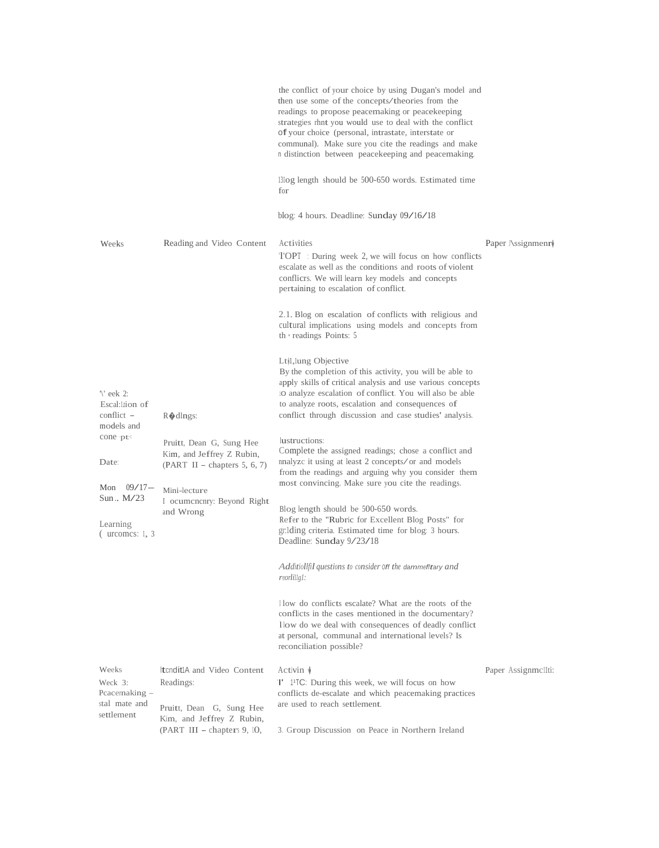|                                                                                                                                                                            |                                                                                                                                                                  | the conflict of your choice by using Dugan's model and<br>then use some of the concepts/theories from the<br>readings to propose peacemaking or peacekeeping<br>strategies rhnt you would use to deal with the conflict<br>of your choice (personal, intrastate, interstate or<br>communal). Make sure you cite the readings and make<br>n distinction between peacekeeping and peacemaking.<br>13log length should be 500-650 words. Estimated time<br>for<br>blog: 4 hours. Deadline: Sunday 09/16/18                                                                                                                                                                                                                                                                                                                                                                                                    |                     |
|----------------------------------------------------------------------------------------------------------------------------------------------------------------------------|------------------------------------------------------------------------------------------------------------------------------------------------------------------|------------------------------------------------------------------------------------------------------------------------------------------------------------------------------------------------------------------------------------------------------------------------------------------------------------------------------------------------------------------------------------------------------------------------------------------------------------------------------------------------------------------------------------------------------------------------------------------------------------------------------------------------------------------------------------------------------------------------------------------------------------------------------------------------------------------------------------------------------------------------------------------------------------|---------------------|
| Weeks                                                                                                                                                                      | Reading and Video Content                                                                                                                                        | Activities<br>TOPT : During week 2, we will focus on how conflicts<br>escalate as well as the conditions and roots of violent<br>conflicts. We will learn key models and concepts<br>pertaining to escalation of conflict.<br>2.1. Blog on escalation of conflicts with religious and<br>cultural implications using models and concepts from<br>th $\cdot$ readings Points: 5                                                                                                                                                                                                                                                                                                                                                                                                                                                                                                                             | Paper $\Sigma$      |
| $\mathcal{C}$ eek 2:<br>Escal:lion of<br>conflict $-$<br>models and<br>$cone$ <sub>pt</sub> $\lt$<br>Date:<br>09/17—<br>Mon<br>Sun., M/23<br>Learning<br>$($ urcomes: 1, 3 | $R$ dlngs:<br>Pruitt, Dean G, Sung Hee<br>Kim, and Jeffrey Z Rubin,<br>$(PART II - chapters 5, 6, 7)$<br>Mini-lecture<br>I ocumentary: Beyond Right<br>and Wrong | Lt <sub>il</sub> , lung Objective<br>By the completion of this activity, you will be able to<br>apply skills of critical analysis and use various concepts<br>to analyze escalation of conflict. You will also be able<br>to analyze roots, escalation and consequences of<br>conflict through discussion and case studies' analysis.<br>lustructions:<br>Complete the assigned readings; chose a conflict and<br>nnalyze it using at least 2 concepts/or and models<br>from the readings and arguing why you consider them<br>most convincing. Make sure you cite the readings.<br>Blog length should be 500-650 words.<br>Refer to the "Rubric for Excellent Blog Posts" for<br>gr. Iding criteria. Estimated time for blog: 3 hours.<br>Deadline: Sunday 9/23/18<br>Additiollfil questions to consider Off the dammefftary and<br>reorlillgl:<br>I low do conflicts escalate? What are the roots of the |                     |
|                                                                                                                                                                            |                                                                                                                                                                  | conflicts in the cases mentioned in the documentary?<br>llow do we deal with consequences of deadly conflict<br>at personal, communal and international levels? Is<br>reconciliation possible?                                                                                                                                                                                                                                                                                                                                                                                                                                                                                                                                                                                                                                                                                                             |                     |
| Weeks<br>Weck 3:<br>Pcacernaking –<br>stal mate and<br>settlement                                                                                                          | <b>ItenditiA and Video Content</b><br>Readings:<br>Pruitt, Dean G, Sung Hee<br>Kim, and Jeffrey Z Rubin,<br>$(PART III - chapters 9, 10,$                        | Activin $\sqrt{\ }$<br>T <sup>11</sup> 1 <sup>1</sup> TC: During this week, we will focus on how<br>conflicts de-escalate and which peacemaking practices<br>are used to reach settlement.<br>3. Group Discussion on Peace in Northern Ireland                                                                                                                                                                                                                                                                                                                                                                                                                                                                                                                                                                                                                                                             | Paper Assignmellti: |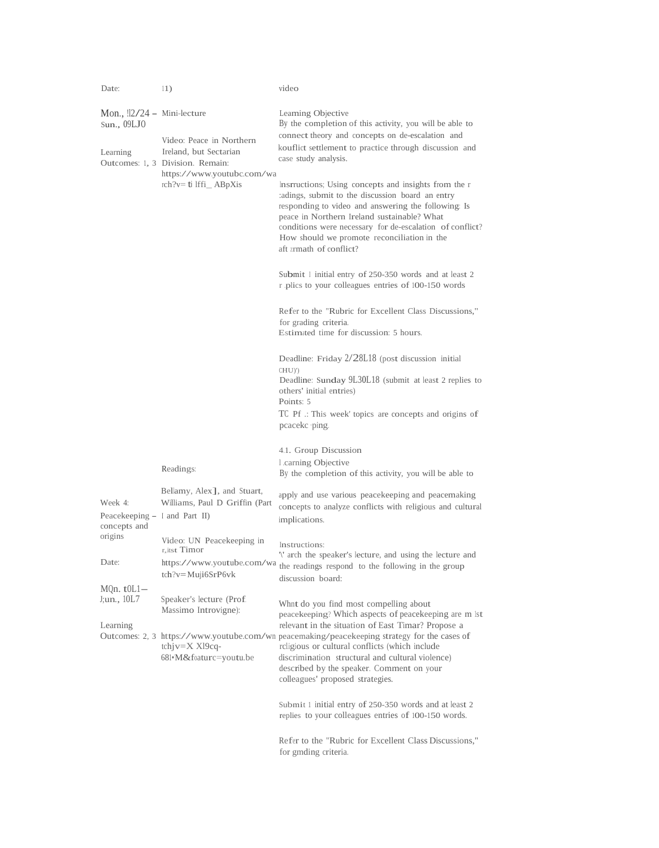| Date:                                                               | 11)                                                                                                                                              | video                                                                                                                                                                                                                                                                                                                                                                                                                                                                                                                                                                                                                                                                                                                                                                                                                                                                                                                                                                                                                                                                    |
|---------------------------------------------------------------------|--------------------------------------------------------------------------------------------------------------------------------------------------|--------------------------------------------------------------------------------------------------------------------------------------------------------------------------------------------------------------------------------------------------------------------------------------------------------------------------------------------------------------------------------------------------------------------------------------------------------------------------------------------------------------------------------------------------------------------------------------------------------------------------------------------------------------------------------------------------------------------------------------------------------------------------------------------------------------------------------------------------------------------------------------------------------------------------------------------------------------------------------------------------------------------------------------------------------------------------|
| Mon., $12/24$ – Mini-lecture<br>Sun., 09LJ0<br>Learning             | Video: Peace in Northern<br>Ireland, but Sectarian<br>Outcomes: 1, 3 Division. Remain:<br>https://www.youtubc.com/wa<br>$rch?v = ti$ Iffi_ABpXis | Leaming Objective<br>By the completion of this activity, you will be able to<br>connect theory and concepts on de-escalation and<br>kouflict settlement to practice through discussion and<br>case study analysis.<br>Instructions; Using concepts and insights from the r<br>adings, submit to the discussion board an entry<br>responding to video and answering the following: Is<br>peace in Northern Ireland sustainable? What<br>conditions were necessary for de-escalation of conflict?<br>How should we promote reconciliation in the<br>aft zrmath of conflict?<br>Submit 1 initial entry of 250-350 words and at least 2<br>r plics to your colleagues entries of 100-150 words<br>Refer to the "Rubric for Excellent Class Discussions,"<br>for grading criteria.<br>Estimated time for discussion: 5 hours.<br>Deadline: Friday 2/28L18 (post discussion initial<br>$CHU)$ ')<br>Deadline: Sunday 9L30L18 (submit at least 2 replies to<br>others' initial entries)<br>Points: 5<br>TC Pf .: This week' topics are concepts and origins of<br>pcacekc ping. |
|                                                                     | Readings:                                                                                                                                        | 4.1. Group Discussion<br>1.carning Objective<br>By the completion of this activity, you will be able to                                                                                                                                                                                                                                                                                                                                                                                                                                                                                                                                                                                                                                                                                                                                                                                                                                                                                                                                                                  |
| Week 4:<br>Peacekeeping – I and Part II)<br>concepts and<br>origins | Bellamy, Alex <sub>1</sub> , and Stuart,<br>Williams, Paul D Griffin (Part<br>Video: UN Peacekeeping in                                          | apply and use various peacekeeping and peacemaking<br>concepts to analyze conflicts with religious and cultural<br>implications.<br>Instructions:                                                                                                                                                                                                                                                                                                                                                                                                                                                                                                                                                                                                                                                                                                                                                                                                                                                                                                                        |
| Date:                                                               | r, itst Timor<br>https://www.youtube.com/wa<br>tch?v=Muji6SrP6vk                                                                                 | "\" arch the speaker's lecture, and using the lecture and<br>the readings respond to the following in the group<br>discussion board:                                                                                                                                                                                                                                                                                                                                                                                                                                                                                                                                                                                                                                                                                                                                                                                                                                                                                                                                     |
| $MQn.$ to $L1-$<br>J;un., $10L7$                                    | Speaker's lecture (Prof.<br>Massimo Introvigne):                                                                                                 | Whnt do you find most compelling about<br>peacekeeping? Which aspects of peacekeeping are m lst                                                                                                                                                                                                                                                                                                                                                                                                                                                                                                                                                                                                                                                                                                                                                                                                                                                                                                                                                                          |
| Learning                                                            | $\text{tch}$ jv $=X$ Xl9cq-<br>681 M&foaturc=youtu.be                                                                                            | relevant in the situation of East Timar? Propose a<br>Outcomes: 2, 3 https://www.youtube.com/wn peacemaking/peacekeeping strategy for the cases of<br>religious or cultural conflicts (which include<br>discrimination structural and cultural violence)<br>described by the speaker. Comment on your<br>colleagues' proposed strategies.                                                                                                                                                                                                                                                                                                                                                                                                                                                                                                                                                                                                                                                                                                                                |
|                                                                     |                                                                                                                                                  | Submit 1 initial entry of 250-350 words and at least 2<br>replies to your colleagues entries of 100-150 words.                                                                                                                                                                                                                                                                                                                                                                                                                                                                                                                                                                                                                                                                                                                                                                                                                                                                                                                                                           |
|                                                                     |                                                                                                                                                  | Refer to the "Rubric for Excellent Class Discussions,"<br>for gmding criteria.                                                                                                                                                                                                                                                                                                                                                                                                                                                                                                                                                                                                                                                                                                                                                                                                                                                                                                                                                                                           |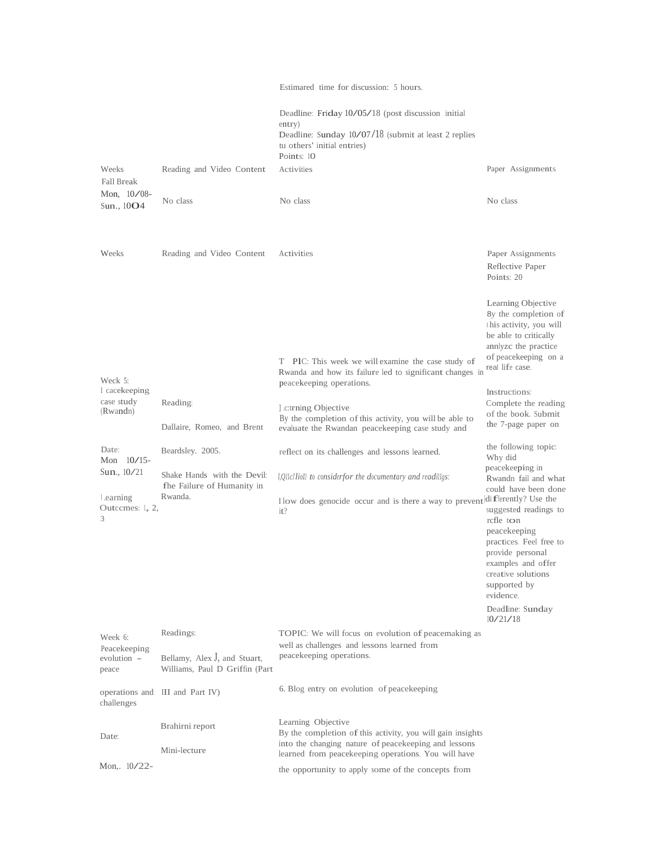|                                      |                                                                | Estimared time for discussion: 5 hours.                                                                                                                             |                                                                                                                                                                                                            |
|--------------------------------------|----------------------------------------------------------------|---------------------------------------------------------------------------------------------------------------------------------------------------------------------|------------------------------------------------------------------------------------------------------------------------------------------------------------------------------------------------------------|
|                                      |                                                                | Deadline: Friday 10/05/18 (post discussion initial<br>entry)<br>Deadline: Sunday $10/07/18$ (submit at least 2 replies<br>tu others' initial entries)<br>Points: 10 |                                                                                                                                                                                                            |
| Weeks<br>Fall Break                  | Reading and Video Content                                      | Activities                                                                                                                                                          | Paper Assignments                                                                                                                                                                                          |
| Mon, $10/08$ -<br>Sun., $10O4$       | No class                                                       | No class                                                                                                                                                            | No class                                                                                                                                                                                                   |
| Weeks                                | Reading and Video Content                                      | Activities                                                                                                                                                          | Paper Assignments<br>Reflective Paper<br>Points: 20                                                                                                                                                        |
| Weck 5:                              |                                                                | T PIC: This week we will examine the case study of<br>Rwanda and how its failure led to significant changes in<br>peacekeeping operations.                          | Learning Objective<br>8y the completion of<br>this activity, you will<br>be able to critically<br>annlyze the practice<br>of peacekeeping on a<br>real life case.                                          |
| I cacekeeping                        |                                                                |                                                                                                                                                                     | Instructions:                                                                                                                                                                                              |
| case study<br>(Rwandn)               | Reading:<br>Dallaire, Romeo, and Brent                         | .c:trning Objective<br>By the completion of this activity, you will be able to<br>evaluate the Rwandan peacekeeping case study and                                  | Complete the reading<br>of the book. Submit<br>the 7-page paper on                                                                                                                                         |
| Date:<br>Mon $10/15$ -               | Beardsley. 2005.                                               | reflect on its challenges and lessons learned.                                                                                                                      | the following topic:<br>Why did                                                                                                                                                                            |
| Sun., $10/21$                        | Shake Hands with the Devil:<br>fhe Failure of Humanity in      | l, Qllcllioll to considerfor the documentary and readillgs:                                                                                                         | peacekeeping in<br>Rwandn fail and what<br>could have been done                                                                                                                                            |
| Learning<br>Outcomes: 1, 2,<br>3     | Rwanda.                                                        | I low does genocide occur and is there a way to prevent differently? Use the<br>it?                                                                                 | suggested readings to<br>rcfle ton<br>peacekeeping<br>practices. Feel free to<br>provide personal<br>examples and offer<br>creative solutions<br>supported by<br>evidence.<br>Deadline: Sunday<br>10/21/18 |
| Week 6:                              | Readings:                                                      | TOPIC: We will focus on evolution of peacemaking as<br>well as challenges and lessons learned from                                                                  |                                                                                                                                                                                                            |
| Peacekeeping<br>evolution –<br>peace | Bellamy, Alex J, and Stuart,<br>Williams, Paul D Griffin (Part | peacekeeping operations.                                                                                                                                            |                                                                                                                                                                                                            |
| challenges                           | operations and III and Part IV)                                | 6. Blog entry on evolution of peacekeeping                                                                                                                          |                                                                                                                                                                                                            |
| Date:                                | Brahirni report<br>Mini-lecture                                | Learning Objective<br>By the completion of this activity, you will gain insights<br>into the changing nature of peacekeeping and lessons                            |                                                                                                                                                                                                            |
| Mon, 10/22-                          |                                                                | learned from peace keeping operations. You will have                                                                                                                |                                                                                                                                                                                                            |
|                                      |                                                                | the opportunity to apply some of the concepts from                                                                                                                  |                                                                                                                                                                                                            |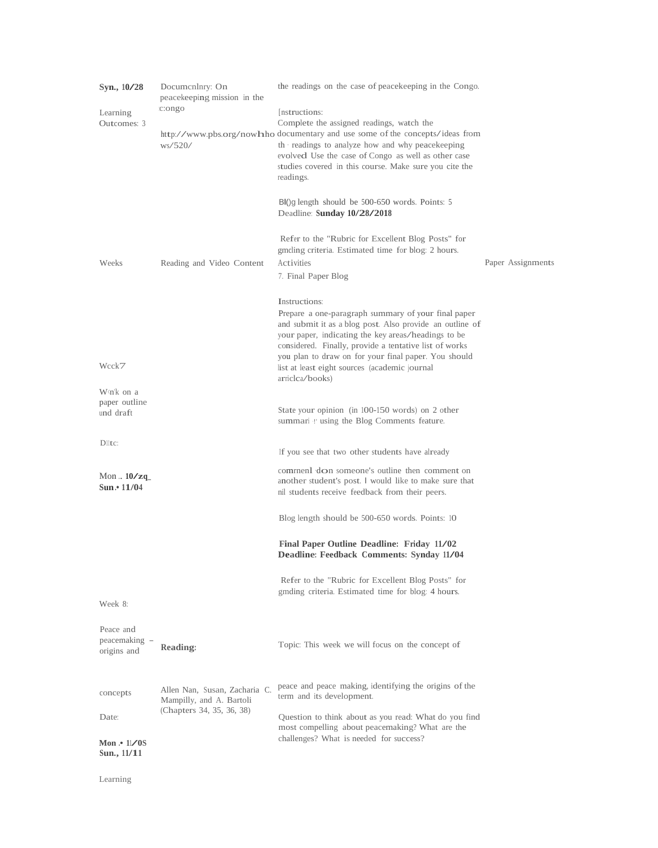| Syn., 10/28<br>Learning<br>Outcomes: 3                                                                                                                                                                                                                                                                                                                                                                                                                  | Documenlnry: On<br>peace keeping mission in the<br>c:ongo<br>ws/520/ | the readings on the case of peace keeping in the Congo.<br>[nstructions:<br>Complete the assigned readings, watch the<br>http://www.pbs.org/nowhho documentary and use some of the concepts/ideas from<br>th readings to analyze how and why peacekeeping<br>evolved Use the case of Congo as well as other case<br>studies covered in this course. Make sure you cite the<br>readings.<br>BI()g length should be 500-650 words. Points: 5<br>Deadline: Sunday 10/28/2018 |                   |
|---------------------------------------------------------------------------------------------------------------------------------------------------------------------------------------------------------------------------------------------------------------------------------------------------------------------------------------------------------------------------------------------------------------------------------------------------------|----------------------------------------------------------------------|---------------------------------------------------------------------------------------------------------------------------------------------------------------------------------------------------------------------------------------------------------------------------------------------------------------------------------------------------------------------------------------------------------------------------------------------------------------------------|-------------------|
| Weeks                                                                                                                                                                                                                                                                                                                                                                                                                                                   | Reading and Video Content                                            | Refer to the "Rubric for Excellent Blog Posts" for<br>gmeling criteria. Estimated time for blog: 2 hours.<br>Activities<br>7. Final Paper Blog                                                                                                                                                                                                                                                                                                                            | Paper Assignments |
| Wcck7<br>W <n'k a<="" on="" td=""><td></td><td>Instructions:<br/>Prepare a one-paragraph summary of your final paper<br/>and submit it as a blog post. Also provide an outline of<br/>your paper, indicating the key areas/headings to be<br/>considered. Finally, provide a tentative list of works<br/>you plan to draw on for your final paper. You should<br/>list at least eight sources (academic journal<br/>arriclea/books)</td><td></td></n'k> |                                                                      | Instructions:<br>Prepare a one-paragraph summary of your final paper<br>and submit it as a blog post. Also provide an outline of<br>your paper, indicating the key areas/headings to be<br>considered. Finally, provide a tentative list of works<br>you plan to draw on for your final paper. You should<br>list at least eight sources (academic journal<br>arriclea/books)                                                                                             |                   |
| paper outline<br>und draft                                                                                                                                                                                                                                                                                                                                                                                                                              |                                                                      | State your opinion (in 100-150 words) on 2 other<br>summari <i>v</i> using the Blog Comments feature.                                                                                                                                                                                                                                                                                                                                                                     |                   |
| Dlltc:                                                                                                                                                                                                                                                                                                                                                                                                                                                  |                                                                      | If you see that two other students have already                                                                                                                                                                                                                                                                                                                                                                                                                           |                   |
| Mon $.10$ /zq<br>Sun. $\cdot$ 11/04                                                                                                                                                                                                                                                                                                                                                                                                                     |                                                                      | comment don someone's outline then comment on<br>another student's post. I would like to make sure that<br>nil students receive feedback from their peers.                                                                                                                                                                                                                                                                                                                |                   |
|                                                                                                                                                                                                                                                                                                                                                                                                                                                         |                                                                      | Blog length should be 500-650 words. Points: 10                                                                                                                                                                                                                                                                                                                                                                                                                           |                   |
|                                                                                                                                                                                                                                                                                                                                                                                                                                                         |                                                                      | Final Paper Outline Deadline: Friday 11/02<br>Deadline: Feedback Comments: Synday 11/04                                                                                                                                                                                                                                                                                                                                                                                   |                   |
| Week 8:                                                                                                                                                                                                                                                                                                                                                                                                                                                 |                                                                      | Refer to the "Rubric for Excellent Blog Posts" for<br>gmding criteria. Estimated time for blog: 4 hours.                                                                                                                                                                                                                                                                                                                                                                  |                   |
| Peace and<br>peacemaking –<br>origins and                                                                                                                                                                                                                                                                                                                                                                                                               | Reading:                                                             | Topic: This week we will focus on the concept of                                                                                                                                                                                                                                                                                                                                                                                                                          |                   |
| concepts                                                                                                                                                                                                                                                                                                                                                                                                                                                | Allen Nan, Susan, Zacharia C.<br>Mampilly, and A. Bartoli            | peace and peace making, identifying the origins of the<br>term and its development.                                                                                                                                                                                                                                                                                                                                                                                       |                   |
| Date:<br>Mon $\cdot$ 11/08<br>Sun., 11/11                                                                                                                                                                                                                                                                                                                                                                                                               | (Chapters 34, 35, 36, 38)                                            | Question to think about as you read: What do you find<br>most compelling about peacemaking? What are the<br>challenges? What is needed for success?                                                                                                                                                                                                                                                                                                                       |                   |

Learning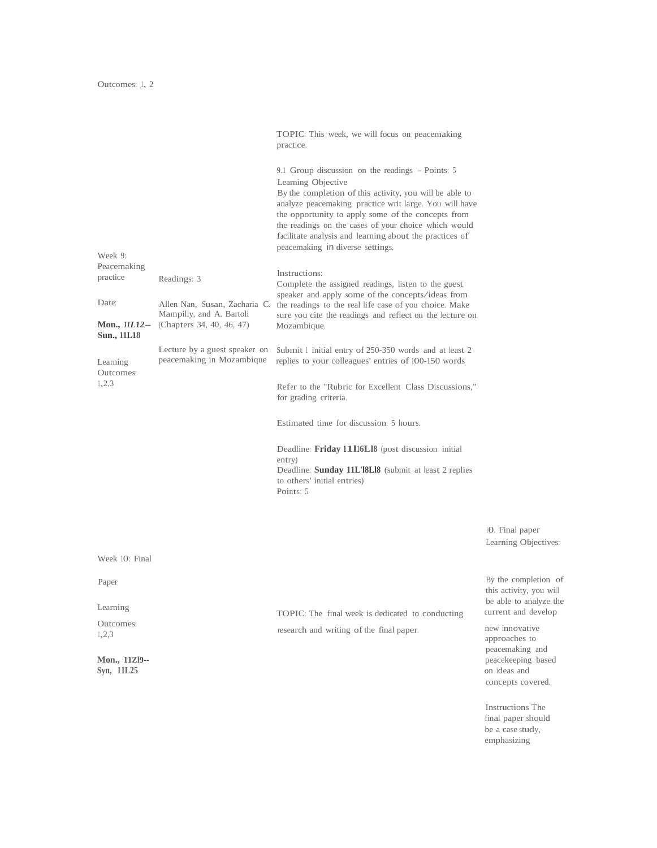TOPIC: This week, we will focus on peacemaking practice. 9.1 Group discussion on the readings - Points: <sup>5</sup> Week 9: Peacemaking practice Readings: 3 Learning Objective By the completion of this activity, you will be able to analyze peacemaking practice writ large. You will have the opportunity to apply some of the concepts from the readings on the cases of your choice which would facilitate analysis and learning about the practices of peacemaking in diverse settings. Instructions: Complete the assigned readings, listen to the guest speaker and apply some of the concepts/ideas from Date: Allen Nan, Susan, Zacharia C. the readings to the real life case of you choice. Make Mampilly, and A. Bartoli sure you cite the readings and reflect on the lecture of sure you cite the readings and reflect on the lecture on Mozambique. **Mon.,** *11L12*- (Chapters 34, 40, 46, 47) **Sun., 11L18** Lecture by a guest speaker on Submit 1 initial entry of 250-350 words and at least 2 peacemaking in Mozambique replies to your colleagues' entries of 100-150 words Learning peacemaking in Mozambique replies to your colleagues' entries of 100-150 words Outcomes: 1,2,3 Refer to the "Rubric for Excellent Class Discussions," for grading criteria. Estimated time for discussion: 5 hours. Deadline: **Friday 11l16Ll8** (post discussion initial entry) Deadline: **Sunday 11L'l8Ll8** (submit at least 2 replies to others' initial entries) Points: <sup>5</sup> Week 10: Final Paper By the completion of Learning TOPIC: The final week is dedicated to conducting Outcomes: research and writing of the final paper. new innovative 1,2,3

10. Final paper Learning Objectives:

this activity, you will be able to analyze the

approaches to peacemaking and **Mon., 11Zl9--** peacekeeping based **Syn, 11L25** on ideas and concepts covered.

> Instructions The final paper should be a case study, emphasizing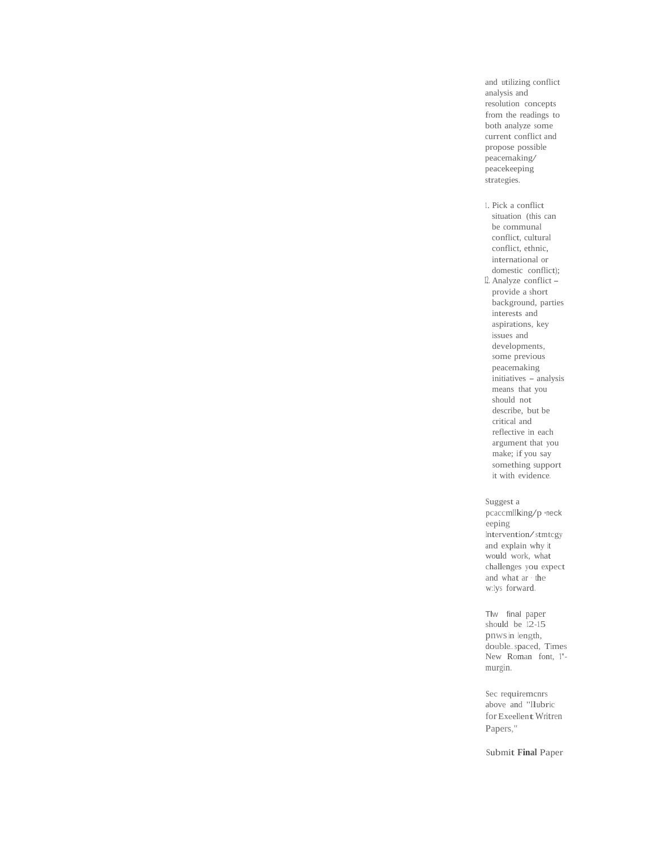and utilizing conflict analysis and resolution concepts from the readings to both analyze some current conflict and propose possible peacemaking/ peacekeeping strategies.

1. Pick a conflict situation (this can be communal conflict, cultural conflict, ethnic, international or domestic conflict); 12. Analyze conflict provide a short background, parties interests and aspirations, key issues and developments, some previous peacemaking initiatives - analysis means that you should not describe, but be critical and reflective in each argument that you make; if you say something support it with evidence.

Suggest a pcaccmllking/p •neck eeping Intervention/stmtcgy and explain why it would work, what challenges you expect and what ar · the w:1ys forward.

Tlw final paper should be 12-15 pnwsin length, double... spaced, Times New Roman font, I'murgin.

Sec requiremcnrs above and "llubric for Exeellent Writren Papers,"

Submit **Final** Paper